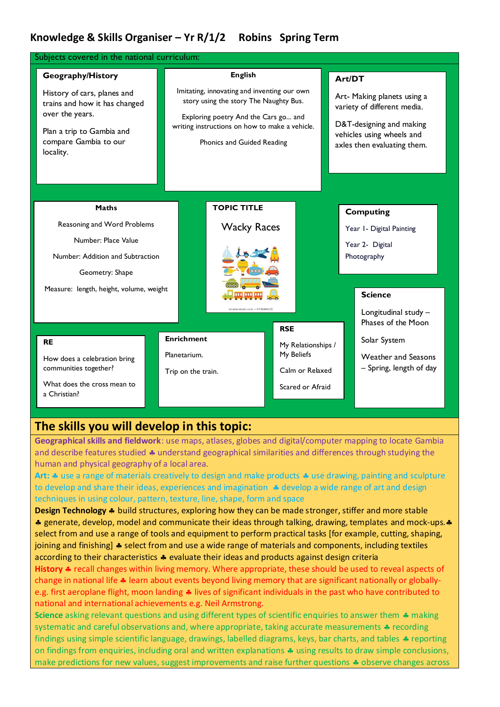### **Knowledge & Skills Organiser – Yr R/1/2 Robins Spring Term**

| Subjects covered in the national curriculum:                                                                                                                            |  |                                                                                                                                                                                                                                 |                                                                                       |                                                                                                                                                              |
|-------------------------------------------------------------------------------------------------------------------------------------------------------------------------|--|---------------------------------------------------------------------------------------------------------------------------------------------------------------------------------------------------------------------------------|---------------------------------------------------------------------------------------|--------------------------------------------------------------------------------------------------------------------------------------------------------------|
| Geography/History<br>History of cars, planes and<br>trains and how it has changed<br>over the years.<br>Plan a trip to Gambia and<br>compare Gambia to our<br>locality. |  | <b>English</b><br>Imitating, innovating and inventing our own<br>story using the story The Naughty Bus.<br>Exploring poetry And the Cars go and<br>writing instructions on how to make a vehicle.<br>Phonics and Guided Reading |                                                                                       | Art/DT<br>Art- Making planets using a<br>variety of different media.<br>D&T-designing and making<br>vehicles using wheels and<br>axles then evaluating them. |
| <b>Maths</b><br>Reasoning and Word Problems<br>Number: Place Value<br>Number: Addition and Subtraction<br>Geometry: Shape<br>Measure: length, height, volume, weight    |  | <b>TOPIC TITLE</b><br><b>Wacky Races</b><br>shutterstock.com · 473696023                                                                                                                                                        |                                                                                       | <b>Computing</b><br>Year I- Digital Painting<br>Year 2- Digital<br>Photography<br><b>Science</b><br>Longitudinal study -<br>Phases of the Moon               |
| <b>RE</b><br>How does a celebration bring<br>communities together?<br>What does the cross mean to<br>a Christian?                                                       |  | <b>Enrichment</b><br>Planetarium.<br>Trip on the train.                                                                                                                                                                         | <b>RSE</b><br>My Relationships /<br>My Beliefs<br>Calm or Relaxed<br>Scared or Afraid | Solar System<br><b>Weather and Seasons</b><br>- Spring, length of day                                                                                        |

# **The skills you will develop in this topic:**

**Geographical skills and fieldwork**: use maps, atlases, globes and digital/computer mapping to locate Gambia and describe features studied  $\clubsuit$  understand geographical similarities and differences through studying the human and physical geography of a local area.

Art:  $\clubsuit$  use a range of materials creatively to design and make products  $\clubsuit$  use drawing, painting and sculpture to develop and share their ideas, experiences and imagination  $\triangleq$  develop a wide range of art and design techniques in using colour, pattern, texture, line, shape, form and space

**Design Technology \*** build structures, exploring how they can be made stronger, stiffer and more stable \* generate, develop, model and communicate their ideas through talking, drawing, templates and mock-ups. \* select from and use a range of tools and equipment to perform practical tasks [for example, cutting, shaping, joining and finishing]  $\clubsuit$  select from and use a wide range of materials and components, including textiles according to their characteristics  $\clubsuit$  evaluate their ideas and products against design criteria

History  $\clubsuit$  recall changes within living memory. Where appropriate, these should be used to reveal aspects of change in national life  $\clubsuit$  learn about events beyond living memory that are significant nationally or globallye.g. first aeroplane flight, moon landing  $\clubsuit$  lives of significant individuals in the past who have contributed to national and international achievements e.g. Neil Armstrong.

**Science** asking relevant questions and using different types of scientific enquiries to answer them  $\clubsuit$  making systematic and careful observations and, where appropriate, taking accurate measurements  $\triangle$  recording findings using simple scientific language, drawings, labelled diagrams, keys, bar charts, and tables  $\clubsuit$  reporting on findings from enquiries, including oral and written explanations  $\clubsuit$  using results to draw simple conclusions, make predictions for new values, suggest improvements and raise further questions  $\clubsuit$  observe changes across